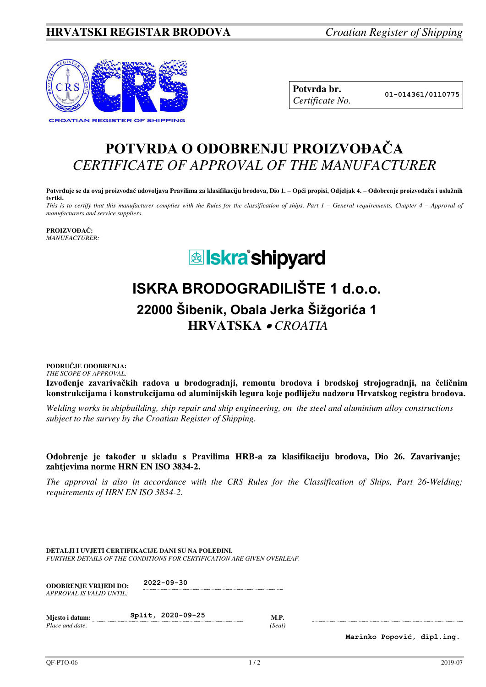### **HRVATSKI REGISTAR BRODOVA** *Croatian Register of Shipping*



| Potvrda br.     |
|-----------------|
| Certificate No. |

### **POTVRDA O ODOBRENJU PROIZVOĐAČA** *CERTIFICATE OF APPROVAL OF THE MANUFACTURER*

**Potvrđuje se da ovaj proizvođač udovoljava Pravilima za klasifikaciju brodova, Dio 1. – Opći propisi, Odjeljak 4. – Odobrenje proizvođača i uslužnih tvrtki.** 

*This is to certify that this manufacturer complies with the Rules for the classification of ships, Part 1 – General requirements, Chapter 4 – Approval of manufacturers and service suppliers.* 

**PROIZVOĐAČ:** *MANUFACTURER:*

## **&** Iskra'shipyard

# **ISKRA BRODOGRADILIŠTE 1 d.o.o.**

**22000 Šibenik, Obala Jerka Šižgorića 1 HRVATSKA**  *CROATIA*

#### **PODRUČJE ODOBRENJA:** *THE SCOPE OF APPROVAL:*

**Izvođenje zavarivačkih radova u brodogradnji, remontu brodova i brodskoj strojogradnji, na čeličnim konstrukcijama i konstrukcijama od aluminijskih legura koje podliježu nadzoru Hrvatskog registra brodova.**

*Welding works in shipbuilding, ship repair and ship engineering, on the steel and aluminium alloy constructions subject to the survey by the Croatian Register of Shipping.*

#### **Odobrenje je također u skladu s Pravilima HRB-a za klasifikaciju brodova, Dio 26. Zavarivanje; zahtjevima norme HRN EN ISO 3834-2.**

*The approval is also in accordance with the CRS Rules for the Classification of Ships, Part 26-Welding; requirements of HRN EN ISO 3834-2.* 

**DETALJI I UVJETI CERTIFIKACIJE DANI SU NA POLEĐINI.** *FURTHER DETAILS OF THE CONDITIONS FOR CERTIFICATION ARE GIVEN OVERLEAF.* 

| <b>ODOBRENJE VRLIEDI DO:</b> | $2022 - 09 - 30$ |
|------------------------------|------------------|
| APPROVAL IS VALID UNTIL:     |                  |

| Miesto i datum: | Split, 2020-09-25 |       |
|-----------------|-------------------|-------|
| Place and date: |                   | Seal) |

**Marinko Popović, dipl.ing.**